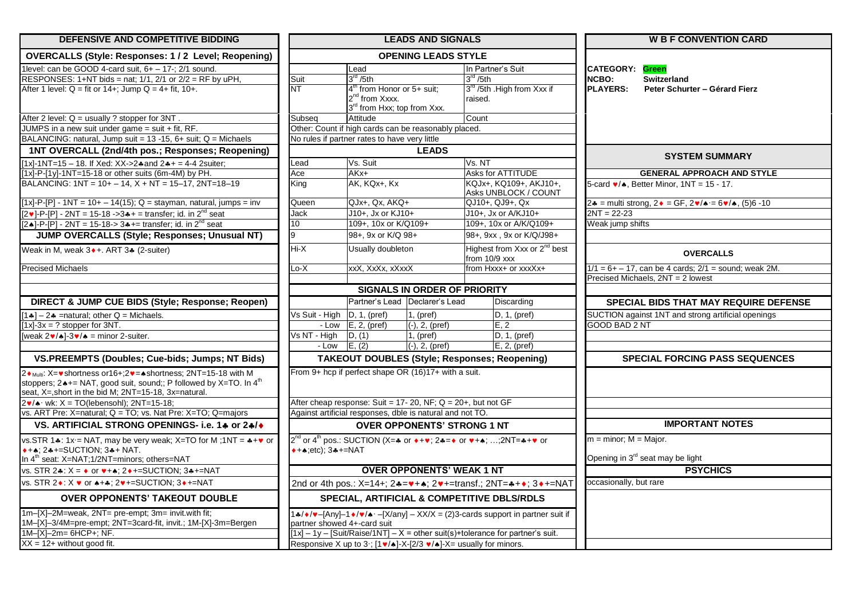| DEFENSIVE AND COMPETITIVE BIDDING                                                                                                                                                                                                                                                                     | <b>LEADS AND SIGNALS</b>                  |                                                                                                       |                                                                 |                                                                                                                                                                                                | <b>W B F CONVENTION CARD</b>                                                            |  |  |
|-------------------------------------------------------------------------------------------------------------------------------------------------------------------------------------------------------------------------------------------------------------------------------------------------------|-------------------------------------------|-------------------------------------------------------------------------------------------------------|-----------------------------------------------------------------|------------------------------------------------------------------------------------------------------------------------------------------------------------------------------------------------|-----------------------------------------------------------------------------------------|--|--|
| <b>OVERCALLS (Style: Responses: 1/2 Level: Reopening)</b>                                                                                                                                                                                                                                             | <b>OPENING LEADS STYLE</b>                |                                                                                                       |                                                                 |                                                                                                                                                                                                |                                                                                         |  |  |
| 1level: can be GOOD 4-card suit, $6+ - 17$ -; $2/1$ sound.                                                                                                                                                                                                                                            | In Partner's Suit<br>Lead                 |                                                                                                       |                                                                 |                                                                                                                                                                                                | <b>CATEGORY:</b> Green                                                                  |  |  |
| RESPONSES: $1+NT$ bids = nat; $1/1$ , $2/1$ or $2/2 = RF$ by uPH,                                                                                                                                                                                                                                     | Suit                                      | $3^{\text{rd}}$ /5th                                                                                  |                                                                 | 3 <sup>rd</sup> / 5th                                                                                                                                                                          | NCBO:<br><b>Switzerland</b>                                                             |  |  |
| After 1 level: $Q = fit$ or 14+; Jump $Q = 4 + fit$ , 10+.                                                                                                                                                                                                                                            | NΤ                                        | $4th$ from Honor or 5+ suit;<br>2 <sup>nd</sup> from Xxxx.<br>3 <sup>rd</sup> from Hxx; top from Xxx. |                                                                 | 3rd /5th .High from Xxx if<br>raised.                                                                                                                                                          | <b>PLAYERS:</b><br>Peter Schurter - Gérard Fierz                                        |  |  |
| After 2 level: $Q =$ usually ? stopper for $3NT$ .                                                                                                                                                                                                                                                    | Subseg                                    | Attitude                                                                                              |                                                                 | Count                                                                                                                                                                                          |                                                                                         |  |  |
| JUMPS in a new suit under game = suit + fit, RF.                                                                                                                                                                                                                                                      |                                           |                                                                                                       | Other: Count if high cards can be reasonably placed.            |                                                                                                                                                                                                |                                                                                         |  |  |
| BALANCING: natural, Jump suit = 13 -15, 6+ suit; Q = Michaels                                                                                                                                                                                                                                         |                                           | No rules if partner rates to have very little                                                         |                                                                 |                                                                                                                                                                                                |                                                                                         |  |  |
| 1NT OVERCALL (2nd/4th pos.; Responses; Reopening)                                                                                                                                                                                                                                                     |                                           |                                                                                                       | <b>LEADS</b>                                                    |                                                                                                                                                                                                | <b>SYSTEM SUMMARY</b>                                                                   |  |  |
| $[1x]$ -1NT=15 – 18. If Xed: XX->2 $*$ and 2 $*$ + = 4-4 2suiter;                                                                                                                                                                                                                                     | Lead                                      | Vs. Suit                                                                                              |                                                                 | Vs. NT                                                                                                                                                                                         |                                                                                         |  |  |
| $[1x]$ -P- $[1y]$ -1NT=15-18 or other suits (6m-4M) by PH.                                                                                                                                                                                                                                            | Ace                                       | $AKx+$                                                                                                |                                                                 | <b>Asks for ATTITUDE</b>                                                                                                                                                                       | <b>GENERAL APPROACH AND STYLE</b>                                                       |  |  |
| BALANCING: $1NT = 10 + -14$ , $X + NT = 15-17$ , $2NT = 18-19$                                                                                                                                                                                                                                        | King                                      | AK, KQx+, Kx                                                                                          |                                                                 | KQJx+, KQ109+, AKJ10+,<br>Asks UNBLOCK / COUNT                                                                                                                                                 | 5-card $\blacktriangleright$ / $\blacktriangle$ , Better Minor, 1NT = 15 - 17.          |  |  |
| $[1x]-P-[P] - 1NT = 10 + -14(15); Q = stayman$ , natural, jumps = inv                                                                                                                                                                                                                                 | Queen                                     | QJx+, Qx, AKQ+                                                                                        |                                                                 | QJ10+, QJ9+, Qx                                                                                                                                                                                | 2.4 = multi strong, $2 \cdot = \text{GF}, 2 \cdot / \cdot = 6 \cdot / \cdot$ , (5)6 -10 |  |  |
| $[2 \cdot ]-P-[P]-2NT = 15-18 -3+1 = \text{transfer}$ ; id. in $2^{nd}$ seat                                                                                                                                                                                                                          | Jack                                      | J10+. Jx or KJ10+                                                                                     |                                                                 | J10+. Jx or A/KJ10+                                                                                                                                                                            | $2NT = 22-23$                                                                           |  |  |
| $[2\bullet]$ -P- $[P]$ - 2NT = 15-18-> 3 $\bullet$ += transfer; id. in 2 <sup>nd</sup> seat                                                                                                                                                                                                           | 10                                        | 109+, 10x or K/Q109+                                                                                  |                                                                 | 109+. 10x or A/K/Q109+                                                                                                                                                                         | Weak jump shifts                                                                        |  |  |
| JUMP OVERCALLS (Style; Responses; Unusual NT)                                                                                                                                                                                                                                                         | 9                                         | 98+, 9x or K/Q 98+                                                                                    |                                                                 | 98+, 9xx, 9x or K/Q/J98+                                                                                                                                                                       |                                                                                         |  |  |
| Weak in M, weak 3 • +. ART 3. (2-suiter)                                                                                                                                                                                                                                                              | Hi-X                                      | Usually doubleton                                                                                     |                                                                 | Highest from Xxx or 2 <sup>nd</sup> best<br>from 10/9 xxx                                                                                                                                      | <b>OVERCALLS</b>                                                                        |  |  |
| <b>Precised Michaels</b>                                                                                                                                                                                                                                                                              | .o-X                                      | xxX, XxXx, xXxxX                                                                                      |                                                                 | from Hxxx+ or xxxXx+                                                                                                                                                                           | $1/1 = 6 + -17$ , can be 4 cards; $2/1 =$ sound; weak 2M.                               |  |  |
|                                                                                                                                                                                                                                                                                                       |                                           |                                                                                                       |                                                                 |                                                                                                                                                                                                | Precised Michaels, 2NT = 2 lowest                                                       |  |  |
|                                                                                                                                                                                                                                                                                                       |                                           |                                                                                                       | <b>SIGNALS IN ORDER OF PRIORITY</b>                             |                                                                                                                                                                                                |                                                                                         |  |  |
| <b>DIRECT &amp; JUMP CUE BIDS (Style; Response; Reopen)</b>                                                                                                                                                                                                                                           |                                           |                                                                                                       | Partner's Lead Declarer's Lead                                  | Discarding                                                                                                                                                                                     | <b>SPECIAL BIDS THAT MAY REQUIRE DEFENSE</b>                                            |  |  |
| $1$ = $2$ = $\frac{1}{2}$ = $\frac{1}{2}$ = $\frac{1}{2}$ = $\frac{1}{2}$ = $\frac{1}{2}$ = $\frac{1}{2}$ = $\frac{1}{2}$ = $\frac{1}{2}$ = $\frac{1}{2}$ = $\frac{1}{2}$ = $\frac{1}{2}$ = $\frac{1}{2}$ = $\frac{1}{2}$ = $\frac{1}{2}$ = $\frac{1}{2}$ = $\frac{1}{2}$ = $\frac{1}{2}$ = $\frac{1$ | Vs Suit - High $\vert D, 1, (pref) \vert$ |                                                                                                       | $1.$ (pref)                                                     | D, 1, (pref)                                                                                                                                                                                   | SUCTION against 1NT and strong artificial openings                                      |  |  |
| $[1x]-3x = ?$ stopper for 3NT.                                                                                                                                                                                                                                                                        |                                           | $-Low$ $E, 2, (pref)$                                                                                 | $(-), 2, (pref)$                                                | E, 2                                                                                                                                                                                           | <b>GOOD BAD 2 NT</b>                                                                    |  |  |
| [weak $2\mathbf{v}/\mathbf{A}$ ]-3 $\mathbf{v}/\mathbf{A}$ = minor 2-suiter.                                                                                                                                                                                                                          | Vs NT - High                              | D, (1)                                                                                                | 1, (pref)                                                       | D, 1, (pref)                                                                                                                                                                                   |                                                                                         |  |  |
|                                                                                                                                                                                                                                                                                                       | - Low                                     | E, (2)                                                                                                | $(-), 2, (pref)$                                                | $E$ , 2, (pref)                                                                                                                                                                                |                                                                                         |  |  |
| VS.PREEMPTS (Doubles; Cue-bids; Jumps; NT Bids)                                                                                                                                                                                                                                                       |                                           |                                                                                                       |                                                                 | <b>TAKEOUT DOUBLES (Style; Responses; Reopening)</b>                                                                                                                                           | <b>SPECIAL FORCING PASS SEQUENCES</b>                                                   |  |  |
| 2 • Multi: X= • shortness or 16+; 2 • = ▲ shortness; 2NT=15-18 with M<br>stoppers; $2 \cdot +$ NAT, good suit, sound;; P followed by X=TO. In 4 <sup>th</sup><br>seat, X=, short in the bid M; 2NT=15-18, 3x=natural.                                                                                 |                                           |                                                                                                       | From 9+ hcp if perfect shape OR (16)17+ with a suit.            |                                                                                                                                                                                                |                                                                                         |  |  |
| $2\mathbf{v}/\mathbf{A}$ · wk: $X = TO$ (lebensohl); 2NT=15-18;                                                                                                                                                                                                                                       |                                           |                                                                                                       | After cheap response: Suit = 17- 20, NF; $Q = 20+$ , but not GF |                                                                                                                                                                                                |                                                                                         |  |  |
| vs. ART Pre: X=natural; Q = TO; vs. Nat Pre: X=TO; Q=majors                                                                                                                                                                                                                                           |                                           |                                                                                                       | Against artificial responses, dble is natural and not TO.       |                                                                                                                                                                                                |                                                                                         |  |  |
| VS. ARTIFICIAL STRONG OPENINGS- i.e. 1♣ or 2♣/◆                                                                                                                                                                                                                                                       |                                           |                                                                                                       | <b>OVER OPPONENTS' STRONG 1 NT</b>                              |                                                                                                                                                                                                | <b>IMPORTANT NOTES</b>                                                                  |  |  |
| vs.STR 1.: 1x = NAT, may be very weak; X=TO for M; 1NT = $*$ + $\bullet$ or                                                                                                                                                                                                                           |                                           |                                                                                                       |                                                                 | $2^{nd}$ or 4 <sup>th</sup> pos.: SUCTION (X= $\clubsuit$ or $\leftrightarrow \bullet$ ; 2 $\clubsuit = \bullet$ or $\blacktriangledown + \bullet$ ; ;2NT= $\clubsuit + \blacktriangledown$ or | $m =$ minor; $M =$ Major.                                                               |  |  |
| $*+$ , 2 $*+$ =SUCTION; 3 $*+$ NAT.                                                                                                                                                                                                                                                                   | $*+*:=c$ : 3 $*+=-NAT$                    |                                                                                                       |                                                                 |                                                                                                                                                                                                |                                                                                         |  |  |
| In $4th$ seat: X=NAT:1/2NT=minors: others=NAT                                                                                                                                                                                                                                                         |                                           |                                                                                                       |                                                                 |                                                                                                                                                                                                | Opening in 3 <sup>rd</sup> seat may be light                                            |  |  |
| vs. STR 2.4: $X = \bullet$ or $\bullet + \bullet$ ; 2 $\bullet + =$ SUCTION; 3.4+=NAT                                                                                                                                                                                                                 |                                           |                                                                                                       | <b>OVER OPPONENTS' WEAK 1 NT</b>                                |                                                                                                                                                                                                | <b>PSYCHICS</b>                                                                         |  |  |
| vs. STR 2♦: X ♥ or ♠+♣; 2♥+=SUCTION; 3♦+=NAT                                                                                                                                                                                                                                                          |                                           |                                                                                                       |                                                                 | 2nd or 4th pos.: X=14+; 2♣=♥+♠; 2♥+=transf.; 2NT=♣+♦; 3♦+=NAT                                                                                                                                  | occasionally, but rare                                                                  |  |  |
| <b>OVER OPPONENTS' TAKEOUT DOUBLE</b>                                                                                                                                                                                                                                                                 |                                           |                                                                                                       |                                                                 | SPECIAL, ARTIFICIAL & COMPETITIVE DBLS/RDLS                                                                                                                                                    |                                                                                         |  |  |
| 1m-[X]-2M=weak, 2NT= pre-empt; 3m= invit.with fit;<br>1M-[X]-3/4M=pre-empt; 2NT=3card-fit, invit.; 1M-[X]-3m=Bergen                                                                                                                                                                                   |                                           | partner showed 4+-card suit                                                                           |                                                                 | $4.4 \times 10^{-4}$ - Any $-1 \times 10^{-4}$ - $\frac{1}{2}$ - $\frac{1}{2}$ - XX/X = (2)3-cards support in partner suit if                                                                  |                                                                                         |  |  |
| 1M-[X]-2m= 6HCP+; NF.                                                                                                                                                                                                                                                                                 |                                           |                                                                                                       |                                                                 | $[1x] - 1y -$ [Suit/Raise/1NT] $- X =$ other suit(s)+tolerance for partner's suit.                                                                                                             |                                                                                         |  |  |
| $XX = 12 +$ without good fit.                                                                                                                                                                                                                                                                         |                                           |                                                                                                       |                                                                 | Responsive X up to 3 : $[1 \cdot 4]$ -X- $[2/3 \cdot 4]$ -X= usually for minors.                                                                                                               |                                                                                         |  |  |